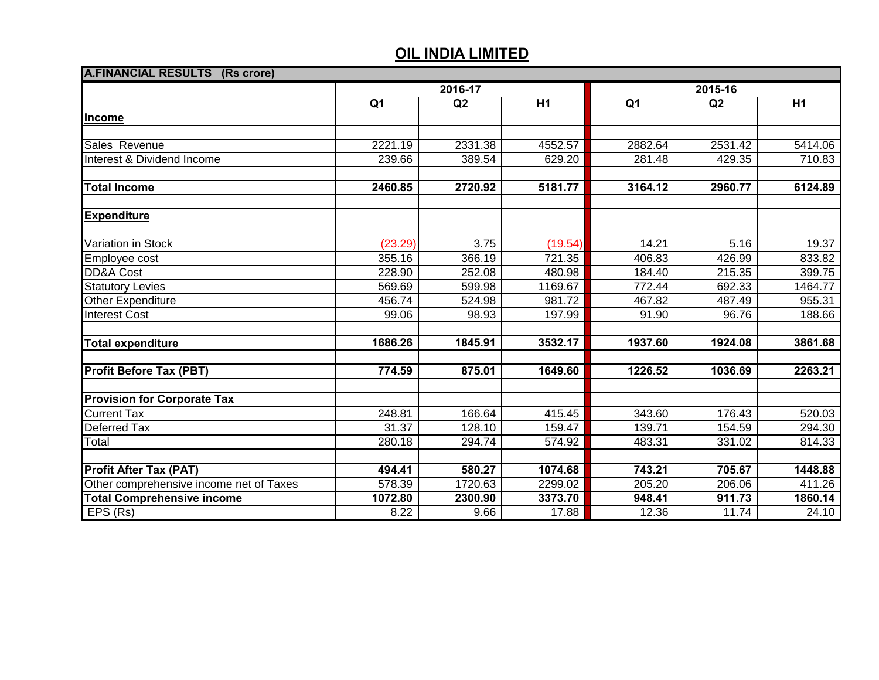| <b>A.FINANCIAL RESULTS (Rs crore)</b>   |                |         |         |                |         |         |  |
|-----------------------------------------|----------------|---------|---------|----------------|---------|---------|--|
|                                         | 2016-17        |         |         | 2015-16        |         |         |  |
|                                         | Q <sub>1</sub> | Q2      | H1      | Q <sub>1</sub> | Q2      | H1      |  |
| Income                                  |                |         |         |                |         |         |  |
|                                         |                |         |         |                |         |         |  |
| Sales Revenue                           | 2221.19        | 2331.38 | 4552.57 | 2882.64        | 2531.42 | 5414.06 |  |
| Interest & Dividend Income              | 239.66         | 389.54  | 629.20  | 281.48         | 429.35  | 710.83  |  |
| <b>Total Income</b>                     | 2460.85        | 2720.92 | 5181.77 | 3164.12        | 2960.77 | 6124.89 |  |
| <b>Expenditure</b>                      |                |         |         |                |         |         |  |
|                                         |                |         |         |                |         |         |  |
| Variation in Stock                      | (23.29)        | 3.75    | (19.54) | 14.21          | 5.16    | 19.37   |  |
| Employee cost                           | 355.16         | 366.19  | 721.35  | 406.83         | 426.99  | 833.82  |  |
| <b>DD&amp;A Cost</b>                    | 228.90         | 252.08  | 480.98  | 184.40         | 215.35  | 399.75  |  |
| <b>Statutory Levies</b>                 | 569.69         | 599.98  | 1169.67 | 772.44         | 692.33  | 1464.77 |  |
| Other Expenditure                       | 456.74         | 524.98  | 981.72  | 467.82         | 487.49  | 955.31  |  |
| <b>Interest Cost</b>                    | 99.06          | 98.93   | 197.99  | 91.90          | 96.76   | 188.66  |  |
| <b>Total expenditure</b>                | 1686.26        | 1845.91 | 3532.17 | 1937.60        | 1924.08 | 3861.68 |  |
| <b>Profit Before Tax (PBT)</b>          | 774.59         | 875.01  | 1649.60 | 1226.52        | 1036.69 | 2263.21 |  |
| <b>Provision for Corporate Tax</b>      |                |         |         |                |         |         |  |
| <b>Current Tax</b>                      | 248.81         | 166.64  | 415.45  | 343.60         | 176.43  | 520.03  |  |
| <b>Deferred Tax</b>                     | 31.37          | 128.10  | 159.47  | 139.71         | 154.59  | 294.30  |  |
| Total                                   | 280.18         | 294.74  | 574.92  | 483.31         | 331.02  | 814.33  |  |
| <b>Profit After Tax (PAT)</b>           | 494.41         | 580.27  | 1074.68 | 743.21         | 705.67  | 1448.88 |  |
| Other comprehensive income net of Taxes | 578.39         | 1720.63 | 2299.02 | 205.20         | 206.06  | 411.26  |  |
| <b>Total Comprehensive income</b>       | 1072.80        | 2300.90 | 3373.70 | 948.41         | 911.73  | 1860.14 |  |
| EPS(Rs)                                 | 8.22           | 9.66    | 17.88   | 12.36          | 11.74   | 24.10   |  |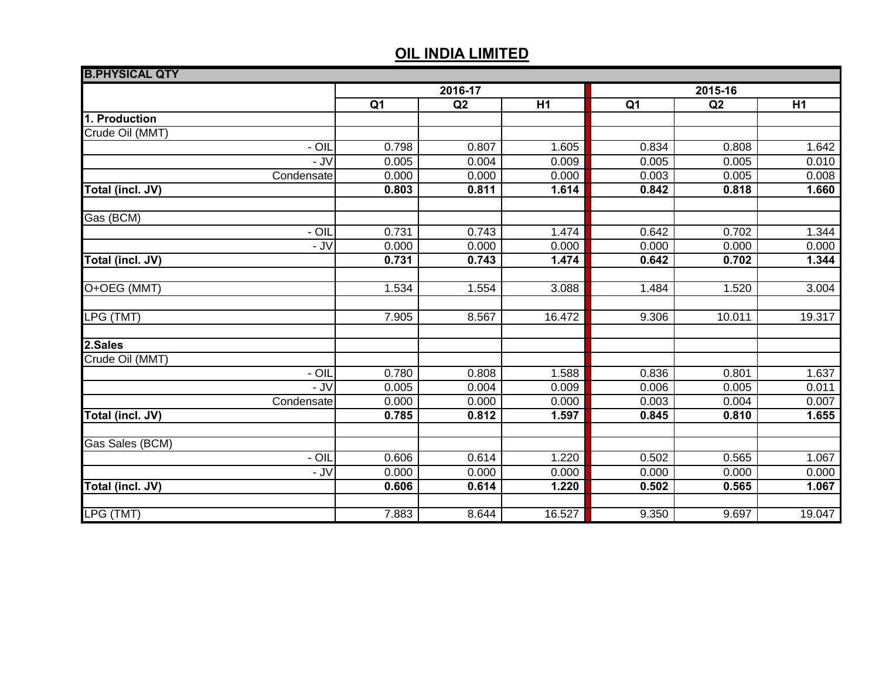| <b>B.PHYSICAL QTY</b> |                |       |        |                |        |                    |
|-----------------------|----------------|-------|--------|----------------|--------|--------------------|
|                       | 2016-17        |       |        | 2015-16        |        |                    |
|                       | Q <sub>1</sub> | Q2    | H1     | Q <sub>1</sub> | Q2     | H1                 |
| 1. Production         |                |       |        |                |        |                    |
| Crude Oil (MMT)       |                |       |        |                |        |                    |
| $- OIL$               | 0.798          | 0.807 | 1.605  | 0.834          | 0.808  | 1.642              |
| $-$ JV                | 0.005          | 0.004 | 0.009  | 0.005          | 0.005  | 0.010              |
| Condensate            | 0.000          | 0.000 | 0.000  | 0.003          | 0.005  | 0.008              |
| Total (incl. JV)      | 0.803          | 0.811 | 1.614  | 0.842          | 0.818  | 1.660              |
| Gas (BCM)             |                |       |        |                |        |                    |
| - OIL                 | 0.731          | 0.743 | 1.474  | 0.642          | 0.702  | 1.344              |
| $-JV$                 | 0.000          | 0.000 | 0.000  | 0.000          | 0.000  | 0.000              |
| Total (incl. JV)      | 0.731          | 0.743 | 1.474  | 0.642          | 0.702  | 1.344              |
| O+OEG (MMT)           | 1.534          | 1.554 | 3.088  | 1.484          | 1.520  | 3.004              |
|                       |                |       |        |                |        |                    |
| LPG (TMT)             | 7.905          | 8.567 | 16.472 | 9.306          | 10.011 | 19.317             |
| 2.Sales               |                |       |        |                |        |                    |
| Crude Oil (MMT)       |                |       |        |                |        |                    |
| $- OIL$               | 0.780          | 0.808 | 1.588  | 0.836          | 0.801  | 1.637              |
| - JV                  | 0.005          | 0.004 | 0.009  | 0.006          | 0.005  | 0.011              |
| Condensate            | 0.000          | 0.000 | 0.000  | 0.003          | 0.004  | 0.007              |
| Total (incl. JV)      | 0.785          | 0.812 | 1.597  | 0.845          | 0.810  | $\overline{1.655}$ |
| Gas Sales (BCM)       |                |       |        |                |        |                    |
| $-$ OIL               | 0.606          | 0.614 | 1.220  | 0.502          | 0.565  | 1.067              |
| - JV                  | 0.000          | 0.000 | 0.000  | 0.000          | 0.000  | 0.000              |
| Total (incl. JV)      | 0.606          | 0.614 | 1.220  | 0.502          | 0.565  | 1.067              |
|                       |                |       |        |                |        |                    |
| LPG (TMT)             | 7.883          | 8.644 | 16.527 | 9.350          | 9.697  | 19.047             |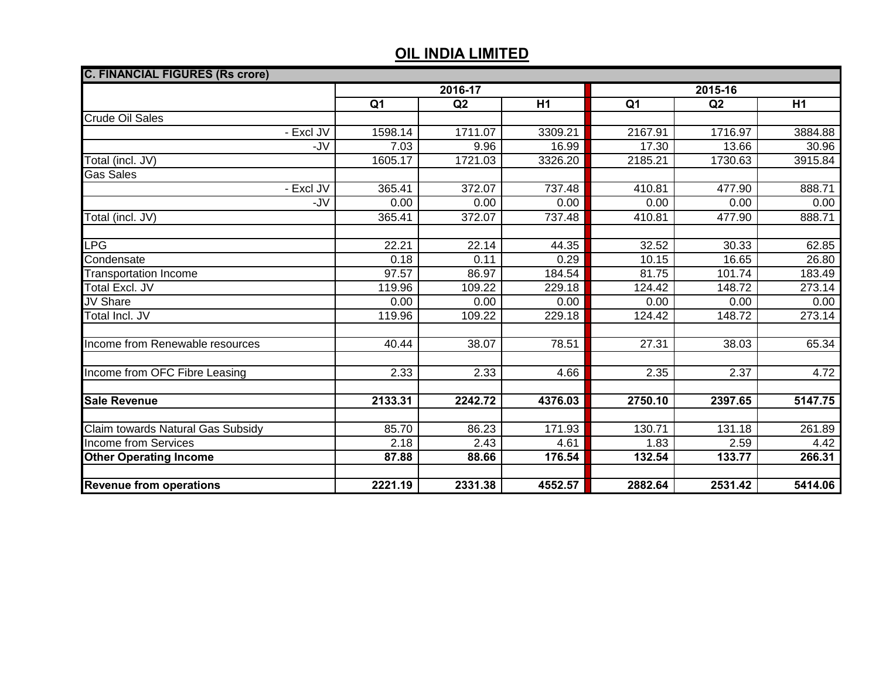| <b>C. FINANCIAL FIGURES (Rs crore)</b> |                |         |                |                |         |                |  |
|----------------------------------------|----------------|---------|----------------|----------------|---------|----------------|--|
|                                        | 2016-17        |         |                | 2015-16        |         |                |  |
|                                        | Q <sub>1</sub> | Q2      | H <sub>1</sub> | Q <sub>1</sub> | Q2      | H <sub>1</sub> |  |
| <b>Crude Oil Sales</b>                 |                |         |                |                |         |                |  |
| - Excl JV                              | 1598.14        | 1711.07 | 3309.21        | 2167.91        | 1716.97 | 3884.88        |  |
| $-JV$                                  | 7.03           | 9.96    | 16.99          | 17.30          | 13.66   | 30.96          |  |
| Total (incl. JV)                       | 1605.17        | 1721.03 | 3326.20        | 2185.21        | 1730.63 | 3915.84        |  |
| <b>Gas Sales</b>                       |                |         |                |                |         |                |  |
| - Excl JV                              | 365.41         | 372.07  | 737.48         | 410.81         | 477.90  | 888.71         |  |
| -JV                                    | 0.00           | 0.00    | 0.00           | 0.00           | 0.00    | 0.00           |  |
| Total (incl. JV)                       | 365.41         | 372.07  | 737.48         | 410.81         | 477.90  | 888.71         |  |
|                                        |                |         |                |                |         |                |  |
| <b>LPG</b>                             | 22.21          | 22.14   | 44.35          | 32.52          | 30.33   | 62.85          |  |
| Condensate                             | 0.18           | 0.11    | 0.29           | 10.15          | 16.65   | 26.80          |  |
| <b>Transportation Income</b>           | 97.57          | 86.97   | 184.54         | 81.75          | 101.74  | 183.49         |  |
| <b>Total Excl. JV</b>                  | 119.96         | 109.22  | 229.18         | 124.42         | 148.72  | 273.14         |  |
| JV Share                               | 0.00           | 0.00    | 0.00           | 0.00           | 0.00    | 0.00           |  |
| Total Incl. JV                         | 119.96         | 109.22  | 229.18         | 124.42         | 148.72  | 273.14         |  |
|                                        |                |         |                |                |         |                |  |
| Income from Renewable resources        | 40.44          | 38.07   | 78.51          | 27.31          | 38.03   | 65.34          |  |
|                                        |                |         |                |                |         |                |  |
| Income from OFC Fibre Leasing          | 2.33           | 2.33    | 4.66           | 2.35           | 2.37    | 4.72           |  |
|                                        |                |         |                |                |         |                |  |
| <b>Sale Revenue</b>                    | 2133.31        | 2242.72 | 4376.03        | 2750.10        | 2397.65 | 5147.75        |  |
|                                        |                |         |                |                |         |                |  |
| Claim towards Natural Gas Subsidy      | 85.70          | 86.23   | 171.93         | 130.71         | 131.18  | 261.89         |  |
| <b>Income from Services</b>            | 2.18           | 2.43    | 4.61           | 1.83           | 2.59    | 4.42           |  |
| <b>Other Operating Income</b>          | 87.88          | 88.66   | 176.54         | 132.54         | 133.77  | 266.31         |  |
|                                        |                |         |                |                |         |                |  |
| <b>Revenue from operations</b>         | 2221.19        | 2331.38 | 4552.57        | 2882.64        | 2531.42 | 5414.06        |  |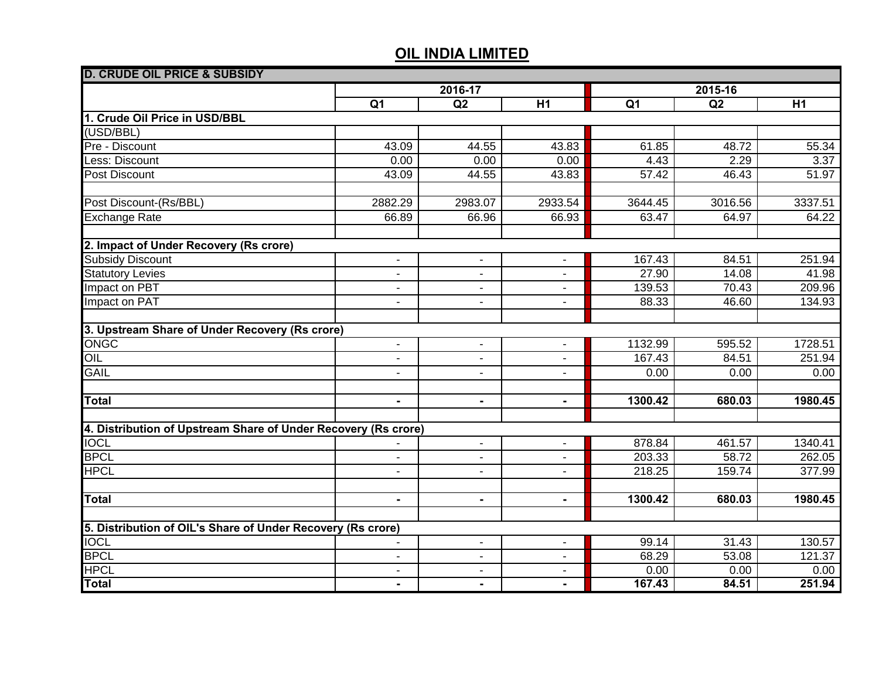| <b>D. CRUDE OIL PRICE &amp; SUBSIDY</b>                        |                |                |                          |                |         |         |
|----------------------------------------------------------------|----------------|----------------|--------------------------|----------------|---------|---------|
|                                                                | 2016-17        |                |                          | 2015-16        |         |         |
|                                                                | Q <sub>1</sub> | Q2             | $\overline{H1}$          | Q <sub>1</sub> | Q2      | H1      |
| 1. Crude Oil Price in USD/BBL                                  |                |                |                          |                |         |         |
| (USD/BBL)                                                      |                |                |                          |                |         |         |
| Pre - Discount                                                 | 43.09          | 44.55          | 43.83                    | 61.85          | 48.72   | 55.34   |
| Less: Discount                                                 | 0.00           | 0.00           | 0.00                     | 4.43           | 2.29    | 3.37    |
| <b>Post Discount</b>                                           | 43.09          | 44.55          | 43.83                    | 57.42          | 46.43   | 51.97   |
|                                                                |                |                |                          |                |         |         |
| Post Discount-(Rs/BBL)                                         | 2882.29        | 2983.07        | 2933.54                  | 3644.45        | 3016.56 | 3337.51 |
| <b>Exchange Rate</b>                                           | 66.89          | 66.96          | 66.93                    | 63.47          | 64.97   | 64.22   |
|                                                                |                |                |                          |                |         |         |
| 2. Impact of Under Recovery (Rs crore)                         |                |                |                          |                |         |         |
| <b>Subsidy Discount</b>                                        | $\blacksquare$ | $\blacksquare$ | $\overline{\phantom{a}}$ | 167.43         | 84.51   | 251.94  |
| <b>Statutory Levies</b>                                        | $\blacksquare$ | $\blacksquare$ | $\blacksquare$           | 27.90          | 14.08   | 41.98   |
| Impact on PBT                                                  | $\blacksquare$ | $\blacksquare$ | $\blacksquare$           | 139.53         | 70.43   | 209.96  |
| Impact on PAT                                                  | $\blacksquare$ | $\blacksquare$ | ٠                        | 88.33          | 46.60   | 134.93  |
|                                                                |                |                |                          |                |         |         |
| 3. Upstream Share of Under Recovery (Rs crore)                 |                |                |                          |                |         |         |
| <b>ONGC</b>                                                    | $\blacksquare$ | $\blacksquare$ | $\blacksquare$           | 1132.99        | 595.52  | 1728.51 |
| OIL                                                            | $\blacksquare$ | $\blacksquare$ | $\blacksquare$           | 167.43         | 84.51   | 251.94  |
| <b>GAIL</b>                                                    | $\blacksquare$ | $\blacksquare$ | $\blacksquare$           | 0.00           | 0.00    | 0.00    |
|                                                                |                |                |                          |                |         |         |
| <b>Total</b>                                                   | $\blacksquare$ | $\blacksquare$ | $\blacksquare$           | 1300.42        | 680.03  | 1980.45 |
|                                                                |                |                |                          |                |         |         |
| 4. Distribution of Upstream Share of Under Recovery (Rs crore) |                |                |                          |                |         |         |
| <b>IOCL</b>                                                    |                | $\blacksquare$ | $\sim$                   | 878.84         | 461.57  | 1340.41 |
| <b>BPCL</b>                                                    | $\blacksquare$ | $\blacksquare$ | ÷,                       | 203.33         | 58.72   | 262.05  |
| <b>HPCL</b>                                                    | $\blacksquare$ | $\blacksquare$ | ÷,                       | 218.25         | 159.74  | 377.99  |
|                                                                |                |                |                          |                |         |         |
| <b>Total</b>                                                   | $\blacksquare$ | $\blacksquare$ | $\blacksquare$           | 1300.42        | 680.03  | 1980.45 |
|                                                                |                |                |                          |                |         |         |
| 5. Distribution of OIL's Share of Under Recovery (Rs crore)    |                |                |                          |                |         |         |
| <b>IOCL</b>                                                    | $\sim$         | $\sim$         | $\blacksquare$           | 99.14          | 31.43   | 130.57  |
| <b>BPCL</b>                                                    | $\blacksquare$ | $\sim$         | ä,                       | 68.29          | 53.08   | 121.37  |
| <b>HPCL</b>                                                    | $\blacksquare$ | $\blacksquare$ | $\blacksquare$           | 0.00           | 0.00    | 0.00    |
| <b>Total</b>                                                   |                | $\blacksquare$ | $\blacksquare$           | 167.43         | 84.51   | 251.94  |